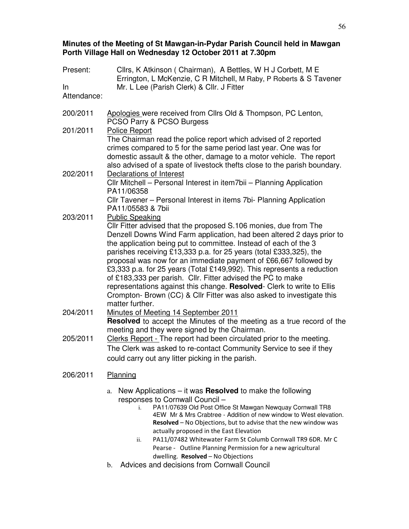# **Minutes of the Meeting of St Mawgan-in-Pydar Parish Council held in Mawgan Porth Village Hall on Wednesday 12 October 2011 at 7.30pm**

| Present:<br>In.<br>Attendance: | Cllrs, K Atkinson (Chairman), A Bettles, W H J Corbett, M E<br>Errington, L McKenzie, C R Mitchell, M Raby, P Roberts & S Tavener<br>Mr. L Lee (Parish Clerk) & Cllr. J Fitter                                                                                                                                                                                                                                                                                                                                                                                                                                                                                                                                        |  |
|--------------------------------|-----------------------------------------------------------------------------------------------------------------------------------------------------------------------------------------------------------------------------------------------------------------------------------------------------------------------------------------------------------------------------------------------------------------------------------------------------------------------------------------------------------------------------------------------------------------------------------------------------------------------------------------------------------------------------------------------------------------------|--|
| 200/2011                       | Apologies were received from Cllrs Old & Thompson, PC Lenton,<br>PCSO Parry & PCSO Burgess                                                                                                                                                                                                                                                                                                                                                                                                                                                                                                                                                                                                                            |  |
| 201/2011                       | <b>Police Report</b><br>The Chairman read the police report which advised of 2 reported<br>crimes compared to 5 for the same period last year. One was for<br>domestic assault & the other, damage to a motor vehicle. The report<br>also advised of a spate of livestock thefts close to the parish boundary.                                                                                                                                                                                                                                                                                                                                                                                                        |  |
| 202/2011                       | Declarations of Interest<br>CIIr Mitchell - Personal Interest in item7bii - Planning Application<br>PA11/06358<br>Cllr Tavener - Personal Interest in items 7bi- Planning Application                                                                                                                                                                                                                                                                                                                                                                                                                                                                                                                                 |  |
| 203/2011                       | PA11/05583 & 7bii<br><b>Public Speaking</b><br>CIIr Fitter advised that the proposed S.106 monies, due from The<br>Denzell Downs Wind Farm application, had been altered 2 days prior to<br>the application being put to committee. Instead of each of the 3<br>parishes receiving £13,333 p.a. for 25 years (total £333,325), the<br>proposal was now for an immediate payment of £66,667 followed by<br>£3,333 p.a. for 25 years (Total £149,992). This represents a reduction<br>of £183,333 per parish. Cllr. Fitter advised the PC to make<br>representations against this change. Resolved- Clerk to write to Ellis<br>Crompton- Brown (CC) & Cllr Fitter was also asked to investigate this<br>matter further. |  |
| 204/2011                       | Minutes of Meeting 14 September 2011<br>Resolved to accept the Minutes of the meeting as a true record of the<br>meeting and they were signed by the Chairman.                                                                                                                                                                                                                                                                                                                                                                                                                                                                                                                                                        |  |
| 205/2011                       | Clerks Report - The report had been circulated prior to the meeting.<br>The Clerk was asked to re-contact Community Service to see if they<br>could carry out any litter picking in the parish.                                                                                                                                                                                                                                                                                                                                                                                                                                                                                                                       |  |
| 206/2011                       | Planning                                                                                                                                                                                                                                                                                                                                                                                                                                                                                                                                                                                                                                                                                                              |  |
|                                | New Applications $-$ it was <b>Resolved</b> to make the following<br>a.<br>responses to Cornwall Council -<br>PA11/07639 Old Post Office St Mawgan Newquay Cornwall TR8<br>i.<br>4EW Mr & Mrs Crabtree - Addition of new window to West elevation.<br>Resolved - No Objections, but to advise that the new window was                                                                                                                                                                                                                                                                                                                                                                                                 |  |

- actually proposed in the East Elevation ii. PA11/07482 Whitewater Farm St Columb Cornwall TR9 6DR. Mr C Pearse - Outline Planning Permission for a new agricultural dwelling. Resolved – No Objections
- b. Advices and decisions from Cornwall Council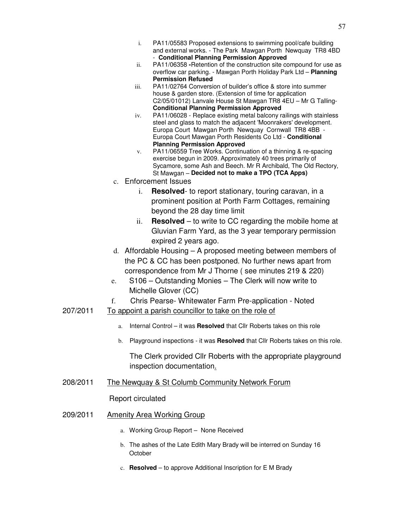- i. PA11/05583 Proposed extensions to swimming pool/cafe building and external works. - The Park Mawgan Porth Newquay TR8 4BD - **Conditional Planning Permission Approved**
- ii. PA11/06358 **-**Retention of the construction site compound for use as overflow car parking. - Mawgan Porth Holiday Park Ltd – **Planning Permission Refused**
- iii. PA11/02764 Conversion of builder's office & store into summer house & garden store. (Extension of time for application C2/05/01012) Lanvale House St Mawgan TR8 4EU – Mr G Talling-**Conditional Planning Permission Approved**
- iv. PA11/06028 Replace existing metal balcony railings with stainless steel and glass to match the adjacent 'Moonrakers' development. Europa Court Mawgan Porth Newquay Cornwall TR8 4BB - Europa Court Mawgan Porth Residents Co Ltd - **Conditional Planning Permission Approved**
- v. PA11/06559 Tree Works. Continuation of a thinning & re-spacing exercise begun in 2009. Approximately 40 trees primarily of Sycamore, some Ash and Beech. Mr R Archibald, The Old Rectory, St Mawgan – **Decided not to make a TPO (TCA Apps)**
- c. Enforcement Issues
	- i. **Resolved** to report stationary, touring caravan, in a prominent position at Porth Farm Cottages, remaining beyond the 28 day time limit
	- ii. **Resolved**  to write to CC regarding the mobile home at Gluvian Farm Yard, as the 3 year temporary permission expired 2 years ago.
- d. Affordable Housing A proposed meeting between members of the PC & CC has been postponed. No further news apart from correspondence from Mr J Thorne ( see minutes 219 & 220)
- e. S106 Outstanding Monies The Clerk will now write to Michelle Glover (CC)
- f. Chris Pearse- Whitewater Farm Pre-application Noted
- 207/2011 To appoint a parish councillor to take on the role of
	- a. Internal Control it was **Resolved** that Cllr Roberts takes on this role
	- b. Playground inspections it was **Resolved** that Cllr Roberts takes on this role.

The Clerk provided Cllr Roberts with the appropriate playground inspection documentation.

208/2011 The Newquay & St Columb Community Network Forum

Report circulated

- 209/2011 Amenity Area Working Group
	- a. Working Group Report None Received
	- b. The ashes of the Late Edith Mary Brady will be interred on Sunday 16 **October**
	- c. **Resolved** to approve Additional Inscription for E M Brady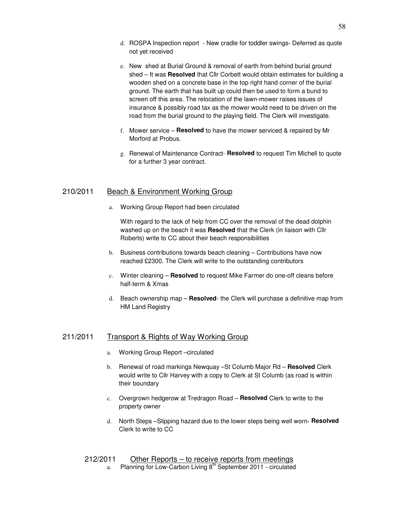- d. ROSPA Inspection report New cradle for toddler swings- Deferred as quote not yet received
- e. New shed at Burial Ground & removal of earth from behind burial ground shed – It was **Resolved** that Cllr Corbett would obtain estimates for building a wooden shed on a concrete base in the top right hand corner of the burial ground. The earth that has built up could then be used to form a bund to screen off this area. The relocation of the lawn-mower raises issues of insurance & possibly road tax as the mower would need to be driven on the road from the burial ground to the playing field. The Clerk will investigate.
- f. Mower service **Resolved** to have the mower serviced & repaired by Mr Morford at Probus.
- g. Renewal of Maintenance Contract- **Resolved** to request Tim Michell to quote for a further 3 year contract.

# 210/2011 Beach & Environment Working Group

a. Working Group Report had been circulated

With regard to the lack of help from CC over the removal of the dead dolphin washed up on the beach it was **Resolved** that the Clerk (in liaison with Cllr Roberts) write to CC about their beach responsibilities

- b. Business contributions towards beach cleaning Contributions have now reached £2300. The Clerk will write to the outstanding contributors
- c. Winter cleaning **Resolved** to request Mike Farmer do one-off cleans before half-term & Xmas
- d. Beach ownership map **Resolved** the Clerk will purchase a definitive map from HM Land Registry

#### 211/2011 Transport & Rights of Way Working Group

- a. Working Group Report-circulated
- b. Renewal of road markings Newquay –St Columb Major Rd **Resolved** Clerk would write to Cllr Harvey with a copy to Clerk at St Columb (as road is within their boundary
- c. Overgrown hedgerow at Tredragon Road **Resolved** Clerk to write to the property owner
- d. North Steps –Slipping hazard due to the lower steps being well worn- **Resolved**  Clerk to write to CC

# 212/2011 Other Reports – to receive reports from meetings

a. Planning for Low-Carbon Living  $8<sup>th</sup>$  September 2011 - circulated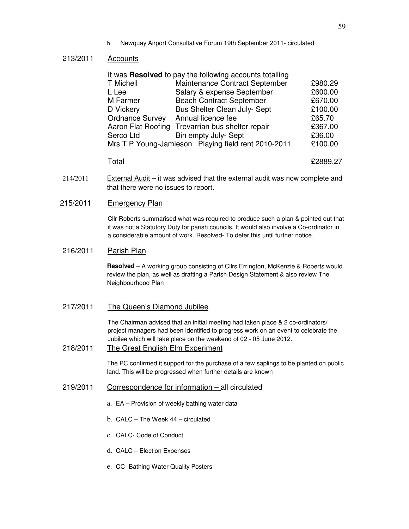b. Newquay Airport Consultative Forum 19th September 2011- circulated

# 213/2011 Accounts

|                        | It was Resolved to pay the following accounts totalling |         |
|------------------------|---------------------------------------------------------|---------|
| <b>T</b> Michell       | Maintenance Contract September                          | £980.29 |
| L Lee                  | Salary & expense September                              | £600.00 |
| M Farmer               | <b>Beach Contract September</b>                         | £670.00 |
| D Vickery              | Bus Shelter Clean July- Sept                            | £100.00 |
| <b>Ordnance Survey</b> | Annual licence fee                                      | £65.70  |
|                        | Aaron Flat Roofing Trevarrian bus shelter repair        | £367.00 |
| Serco Ltd              | Bin empty July- Sept                                    | £36.00  |
|                        | Mrs T P Young-Jamieson Playing field rent 2010-2011     | £100.00 |

Total £2889.27

 $214/2011$  External Audit – it was advised that the external audit was now complete and that there were no issues to report.

# 215/2011 Emergency Plan

Cllr Roberts summarised what was required to produce such a plan & pointed out that it was not a Statutory Duty for parish councils. It would also involve a Co-ordinator in a considerable amount of work. Resolved- To defer this until further notice.

#### 216/2011 Parish Plan

**Resolved** – A working group consisting of Cllrs Errington, McKenzie & Roberts would review the plan, as well as drafting a Parish Design Statement & also review The Neighbourhood Plan

217/2011 The Queen's Diamond Jubilee

The Chairman advised that an initial meeting had taken place & 2 co-ordinators/ project managers had been identified to progress work on an event to celebrate the Jubilee which will take place on the weekend of 02 - 05 June 2012.

#### 218/2011 The Great English Elm Experiment

The PC confirmed it support for the purchase of a few saplings to be planted on public land. This will be progressed when further details are known

- 219/2011 Correspondence for information all circulated
	- a. EA Provision of weekly bathing water data
	- b. CALC The Week 44 circulated
	- c. CALC- Code of Conduct
	- d. CALC Election Expenses
	- e. CC- Bathing Water Quality Posters